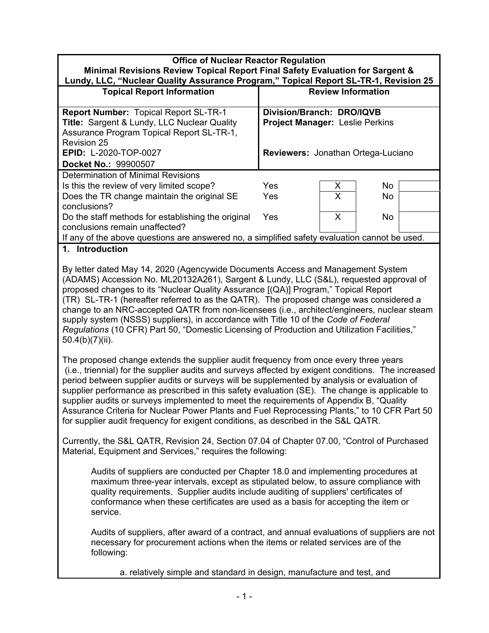| Minimal Revisions Review Topical Report Final Safety Evaluation for Sargent &                |  |
|----------------------------------------------------------------------------------------------|--|
| J. : III A. (Alizata an Arrattic Alexandres Discussed Vitteria at Den and Alitt District and |  |

| Lundy, LLC, "Nuclear Quality Assurance Program," Topical Report SL-TR-1, Revision 25                                                                           |                                                                     |   |           |  |
|----------------------------------------------------------------------------------------------------------------------------------------------------------------|---------------------------------------------------------------------|---|-----------|--|
| <b>Topical Report Information</b>                                                                                                                              | <b>Review Information</b>                                           |   |           |  |
| <b>Report Number: Topical Report SL-TR-1</b><br>Title: Sargent & Lundy, LLC Nuclear Quality<br>Assurance Program Topical Report SL-TR-1,<br><b>Revision 25</b> | Division/Branch: DRO/IQVB<br><b>Project Manager: Leslie Perkins</b> |   |           |  |
| <b>EPID: L-2020-TOP-0027</b>                                                                                                                                   | Reviewers: Jonathan Ortega-Luciano                                  |   |           |  |
| Docket No.: 99900507                                                                                                                                           |                                                                     |   |           |  |
| <b>Determination of Minimal Revisions</b>                                                                                                                      |                                                                     |   |           |  |
| Is this the review of very limited scope?                                                                                                                      | Yes                                                                 | Х | <b>No</b> |  |
| Does the TR change maintain the original SE                                                                                                                    | Yes                                                                 | X | No.       |  |
| conclusions?                                                                                                                                                   |                                                                     |   |           |  |
| Do the staff methods for establishing the original<br>conclusions remain unaffected?                                                                           | Yes                                                                 | X | <b>No</b> |  |
| If any of the above questions are answered no, a simplified safety evaluation cannot be used.                                                                  |                                                                     |   |           |  |

#### **1. Introduction**

By letter dated May 14, 2020 (Agencywide Documents Access and Management System (ADAMS) Accession No. ML20132A261), Sargent & Lundy, LLC (S&L), requested approval of proposed changes to its "Nuclear Quality Assurance [(QA)] Program," Topical Report (TR) SL-TR-1 (hereafter referred to as the QATR). The proposed change was considered a change to an NRC-accepted QATR from non-licensees (i.e., architect/engineers, nuclear steam supply system (NSSS) suppliers), in accordance with Title 10 of the *Code of Federal Regulations* (10 CFR) Part 50, "Domestic Licensing of Production and Utilization Facilities," 50.4(b)(7)(ii).

The proposed change extends the supplier audit frequency from once every three years (i.e., triennial) for the supplier audits and surveys affected by exigent conditions. The increased period between supplier audits or surveys will be supplemented by analysis or evaluation of supplier performance as prescribed in this safety evaluation (SE). The change is applicable to supplier audits or surveys implemented to meet the requirements of Appendix B, "Quality Assurance Criteria for Nuclear Power Plants and Fuel Reprocessing Plants," to 10 CFR Part 50 for supplier audit frequency for exigent conditions, as described in the S&L QATR.

Currently, the S&L QATR, Revision 24, Section 07.04 of Chapter 07.00, "Control of Purchased Material, Equipment and Services," requires the following:

Audits of suppliers are conducted per Chapter 18.0 and implementing procedures at maximum three-year intervals, except as stipulated below, to assure compliance with quality requirements. Supplier audits include auditing of suppliers' certificates of conformance when these certificates are used as a basis for accepting the item or service.

Audits of suppliers, after award of a contract, and annual evaluations of suppliers are not necessary for procurement actions when the items or related services are of the following:

a. relatively simple and standard in design, manufacture and test, and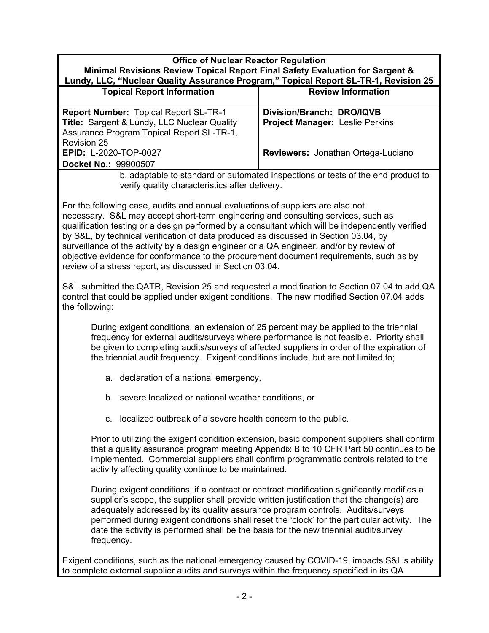#### **Office of Nuclear Reactor Regulation Minimal Revisions Review Topical Report Final Safety Evaluation for Sargent & Lundy, LLC, "Nuclear Quality Assurance Program," Topical Report SL-TR-1, Revision 25**

| Lunuy, LLC, Mucieal Quanty ASSurance Program, Tropical Report OL-TR-1, Revision 25          |                                                                     |  |
|---------------------------------------------------------------------------------------------|---------------------------------------------------------------------|--|
| <b>Topical Report Information</b>                                                           | <b>Review Information</b>                                           |  |
| <b>Report Number: Topical Report SL-TR-1</b><br>Title: Sargent & Lundy, LLC Nuclear Quality | Division/Branch: DRO/IQVB<br><b>Project Manager: Leslie Perkins</b> |  |
| Assurance Program Topical Report SL-TR-1,                                                   |                                                                     |  |
| <b>Revision 25</b>                                                                          |                                                                     |  |
| <b>EPID: L-2020-TOP-0027</b>                                                                | Reviewers: Jonathan Ortega-Luciano                                  |  |
| Docket No.: 99900507                                                                        |                                                                     |  |

b. adaptable to standard or automated inspections or tests of the end product to verify quality characteristics after delivery.

For the following case, audits and annual evaluations of suppliers are also not necessary. S&L may accept short-term engineering and consulting services, such as qualification testing or a design performed by a consultant which will be independently verified by S&L, by technical verification of data produced as discussed in Section 03.04, by surveillance of the activity by a design engineer or a QA engineer, and/or by review of objective evidence for conformance to the procurement document requirements, such as by review of a stress report, as discussed in Section 03.04.

S&L submitted the QATR, Revision 25 and requested a modification to Section 07.04 to add QA control that could be applied under exigent conditions. The new modified Section 07.04 adds the following:

During exigent conditions, an extension of 25 percent may be applied to the triennial frequency for external audits/surveys where performance is not feasible. Priority shall be given to completing audits/surveys of affected suppliers in order of the expiration of the triennial audit frequency. Exigent conditions include, but are not limited to;

- a. declaration of a national emergency,
- b. severe localized or national weather conditions, or
- c. localized outbreak of a severe health concern to the public.

Prior to utilizing the exigent condition extension, basic component suppliers shall confirm that a quality assurance program meeting Appendix B to 10 CFR Part 50 continues to be implemented. Commercial suppliers shall confirm programmatic controls related to the activity affecting quality continue to be maintained.

During exigent conditions, if a contract or contract modification significantly modifies a supplier's scope, the supplier shall provide written justification that the change(s) are adequately addressed by its quality assurance program controls. Audits/surveys performed during exigent conditions shall reset the 'clock' for the particular activity. The date the activity is performed shall be the basis for the new triennial audit/survey frequency.

Exigent conditions, such as the national emergency caused by COVID-19, impacts S&L's ability to complete external supplier audits and surveys within the frequency specified in its QA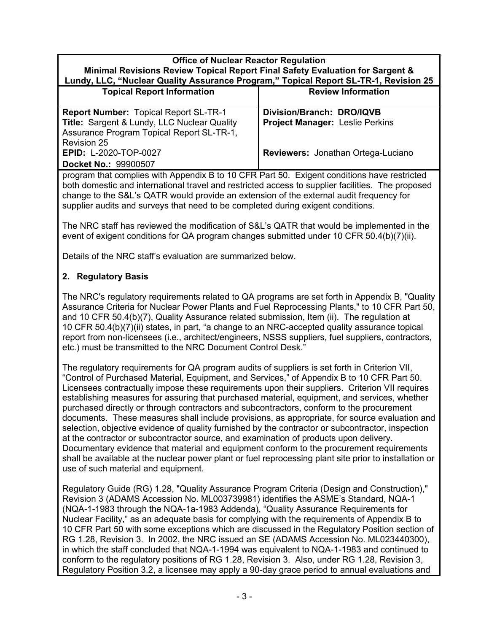#### **Minimal Revisions Review Topical Report Final Safety Evaluation for Sargent & Lundy, LLC, "Nuclear Quality Assurance Program," Topical Report SL-TR-1, Revision 25**

| $\frac{1}{2}$ $\frac{1}{2}$ $\frac{1}{2}$ $\frac{1}{2}$ $\frac{1}{2}$ $\frac{1}{2}$ $\frac{1}{2}$ $\frac{1}{2}$ $\frac{1}{2}$ $\frac{1}{2}$ $\frac{1}{2}$ $\frac{1}{2}$ $\frac{1}{2}$ $\frac{1}{2}$ $\frac{1}{2}$ $\frac{1}{2}$ $\frac{1}{2}$ $\frac{1}{2}$ $\frac{1}{2}$ $\frac{1}{2}$ $\frac{1}{2}$ $\frac{1}{2}$ |                                        |  |
|---------------------------------------------------------------------------------------------------------------------------------------------------------------------------------------------------------------------------------------------------------------------------------------------------------------------|----------------------------------------|--|
| <b>Topical Report Information</b>                                                                                                                                                                                                                                                                                   | <b>Review Information</b>              |  |
| <b>Report Number: Topical Report SL-TR-1</b>                                                                                                                                                                                                                                                                        | Division/Branch: DRO/IQVB              |  |
| Title: Sargent & Lundy, LLC Nuclear Quality                                                                                                                                                                                                                                                                         | <b>Project Manager: Leslie Perkins</b> |  |
| Assurance Program Topical Report SL-TR-1,                                                                                                                                                                                                                                                                           |                                        |  |
| <b>Revision 25</b>                                                                                                                                                                                                                                                                                                  |                                        |  |
| <b>EPID: L-2020-TOP-0027</b>                                                                                                                                                                                                                                                                                        | Reviewers: Jonathan Ortega-Luciano     |  |
| Docket No.: 99900507                                                                                                                                                                                                                                                                                                |                                        |  |

program that complies with Appendix B to 10 CFR Part 50. Exigent conditions have restricted both domestic and international travel and restricted access to supplier facilities. The proposed change to the S&L's QATR would provide an extension of the external audit frequency for supplier audits and surveys that need to be completed during exigent conditions.

The NRC staff has reviewed the modification of S&L's QATR that would be implemented in the event of exigent conditions for QA program changes submitted under 10 CFR 50.4(b)(7)(ii).

Details of the NRC staff's evaluation are summarized below.

## **2. Regulatory Basis**

The NRC's regulatory requirements related to QA programs are set forth in Appendix B, "Quality Assurance Criteria for Nuclear Power Plants and Fuel Reprocessing Plants," to 10 CFR Part 50, and 10 CFR 50.4(b)(7), Quality Assurance related submission, Item (ii). The regulation at 10 CFR 50.4(b)(7)(ii) states, in part, "a change to an NRC-accepted quality assurance topical report from non-licensees (i.e., architect/engineers, NSSS suppliers, fuel suppliers, contractors, etc.) must be transmitted to the NRC Document Control Desk."

The regulatory requirements for QA program audits of suppliers is set forth in Criterion VII, "Control of Purchased Material, Equipment, and Services," of Appendix B to 10 CFR Part 50. Licensees contractually impose these requirements upon their suppliers. Criterion VII requires establishing measures for assuring that purchased material, equipment, and services, whether purchased directly or through contractors and subcontractors, conform to the procurement documents. These measures shall include provisions, as appropriate, for source evaluation and selection, objective evidence of quality furnished by the contractor or subcontractor. inspection at the contractor or subcontractor source, and examination of products upon delivery. Documentary evidence that material and equipment conform to the procurement requirements shall be available at the nuclear power plant or fuel reprocessing plant site prior to installation or use of such material and equipment.

Regulatory Guide (RG) 1.28, "Quality Assurance Program Criteria (Design and Construction)," Revision 3 (ADAMS Accession No. ML003739981) identifies the ASME's Standard, NQA-1 (NQA-1-1983 through the NQA-1a-1983 Addenda), "Quality Assurance Requirements for Nuclear Facility," as an adequate basis for complying with the requirements of Appendix B to 10 CFR Part 50 with some exceptions which are discussed in the Regulatory Position section of RG 1.28, Revision 3. In 2002, the NRC issued an SE (ADAMS Accession No. ML023440300), in which the staff concluded that NQA-1-1994 was equivalent to NQA-1-1983 and continued to conform to the regulatory positions of RG 1.28, Revision 3. Also, under RG 1.28, Revision 3, Regulatory Position 3.2, a licensee may apply a 90-day grace period to annual evaluations and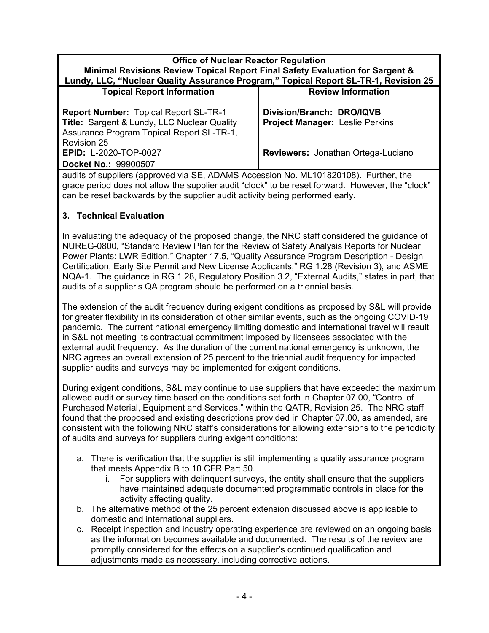| Minimal Revisions Review Topical Report Final Safety Evaluation for Sargent &        |  |  |
|--------------------------------------------------------------------------------------|--|--|
| Lundy, LLC, "Nuclear Quality Assurance Program," Topical Report SL-TR-1, Revision 25 |  |  |

| $\mathbf{L}$ $\mathbf{u}$ , $\mathbf{u}$ $\mathbf{v}$ and $\mathbf{v}$ and $\mathbf{v}$ and $\mathbf{v}$ and $\mathbf{v}$ and $\mathbf{v}$ and $\mathbf{v}$ and $\mathbf{v}$ and $\mathbf{v}$ and $\mathbf{v}$ and $\mathbf{v}$ and $\mathbf{v}$ and $\mathbf{v}$ and $\mathbf{v}$ and $\mathbf{v}$ an |                                        |  |
|--------------------------------------------------------------------------------------------------------------------------------------------------------------------------------------------------------------------------------------------------------------------------------------------------------|----------------------------------------|--|
| <b>Topical Report Information</b>                                                                                                                                                                                                                                                                      | <b>Review Information</b>              |  |
| <b>Report Number: Topical Report SL-TR-1</b>                                                                                                                                                                                                                                                           | Division/Branch: DRO/IQVB              |  |
| Title: Sargent & Lundy, LLC Nuclear Quality                                                                                                                                                                                                                                                            | <b>Project Manager: Leslie Perkins</b> |  |
| Assurance Program Topical Report SL-TR-1,                                                                                                                                                                                                                                                              |                                        |  |
| <b>Revision 25</b>                                                                                                                                                                                                                                                                                     |                                        |  |
| <b>EPID: L-2020-TOP-0027</b>                                                                                                                                                                                                                                                                           | Reviewers: Jonathan Ortega-Luciano     |  |
| Docket No.: 99900507                                                                                                                                                                                                                                                                                   |                                        |  |

audits of suppliers (approved via SE, ADAMS Accession No. ML101820108). Further, the grace period does not allow the supplier audit "clock" to be reset forward. However, the "clock" can be reset backwards by the supplier audit activity being performed early.

## **3. Technical Evaluation**

In evaluating the adequacy of the proposed change, the NRC staff considered the guidance of NUREG-0800, "Standard Review Plan for the Review of Safety Analysis Reports for Nuclear Power Plants: LWR Edition," Chapter 17.5, "Quality Assurance Program Description - Design Certification, Early Site Permit and New License Applicants," RG 1.28 (Revision 3), and ASME NQA-1. The guidance in RG 1.28, Regulatory Position 3.2, "External Audits," states in part, that audits of a supplier's QA program should be performed on a triennial basis.

The extension of the audit frequency during exigent conditions as proposed by S&L will provide for greater flexibility in its consideration of other similar events, such as the ongoing COVID-19 pandemic. The current national emergency limiting domestic and international travel will result in S&L not meeting its contractual commitment imposed by licensees associated with the external audit frequency. As the duration of the current national emergency is unknown, the NRC agrees an overall extension of 25 percent to the triennial audit frequency for impacted supplier audits and surveys may be implemented for exigent conditions.

During exigent conditions, S&L may continue to use suppliers that have exceeded the maximum allowed audit or survey time based on the conditions set forth in Chapter 07.00, "Control of Purchased Material, Equipment and Services," within the QATR, Revision 25. The NRC staff found that the proposed and existing descriptions provided in Chapter 07.00, as amended, are consistent with the following NRC staff's considerations for allowing extensions to the periodicity of audits and surveys for suppliers during exigent conditions:

- a. There is verification that the supplier is still implementing a quality assurance program that meets Appendix B to 10 CFR Part 50.
	- i. For suppliers with delinquent surveys, the entity shall ensure that the suppliers have maintained adequate documented programmatic controls in place for the activity affecting quality.
- b. The alternative method of the 25 percent extension discussed above is applicable to domestic and international suppliers.
- c. Receipt inspection and industry operating experience are reviewed on an ongoing basis as the information becomes available and documented. The results of the review are promptly considered for the effects on a supplier's continued qualification and adjustments made as necessary, including corrective actions.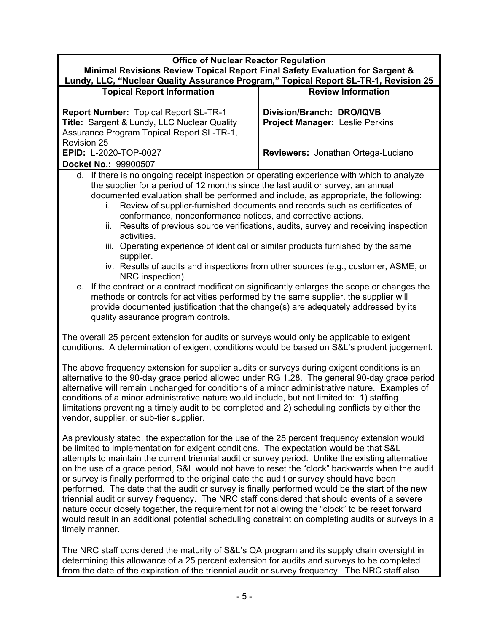| <b>Office of Nuclear Reactor Regulation</b><br>Minimal Revisions Review Topical Report Final Safety Evaluation for Sargent &                                                                                                                                                                                                                                                                                                                                                                                                                                                                                                                                                                                                                                                                                                                                                                                                                                                                                                                                            |                                                                                                    |  |  |
|-------------------------------------------------------------------------------------------------------------------------------------------------------------------------------------------------------------------------------------------------------------------------------------------------------------------------------------------------------------------------------------------------------------------------------------------------------------------------------------------------------------------------------------------------------------------------------------------------------------------------------------------------------------------------------------------------------------------------------------------------------------------------------------------------------------------------------------------------------------------------------------------------------------------------------------------------------------------------------------------------------------------------------------------------------------------------|----------------------------------------------------------------------------------------------------|--|--|
| Lundy, LLC, "Nuclear Quality Assurance Program," Topical Report SL-TR-1, Revision 25                                                                                                                                                                                                                                                                                                                                                                                                                                                                                                                                                                                                                                                                                                                                                                                                                                                                                                                                                                                    |                                                                                                    |  |  |
| <b>Topical Report Information</b>                                                                                                                                                                                                                                                                                                                                                                                                                                                                                                                                                                                                                                                                                                                                                                                                                                                                                                                                                                                                                                       | <b>Review Information</b>                                                                          |  |  |
| <b>Report Number: Topical Report SL-TR-1</b><br>Title: Sargent & Lundy, LLC Nuclear Quality<br>Assurance Program Topical Report SL-TR-1,<br><b>Revision 25</b><br>EPID: L-2020-TOP-0027<br>Docket No.: 99900507                                                                                                                                                                                                                                                                                                                                                                                                                                                                                                                                                                                                                                                                                                                                                                                                                                                         | Division/Branch: DRO/IQVB<br>Project Manager: Leslie Perkins<br>Reviewers: Jonathan Ortega-Luciano |  |  |
| d. If there is no ongoing receipt inspection or operating experience with which to analyze<br>the supplier for a period of 12 months since the last audit or survey, an annual<br>documented evaluation shall be performed and include, as appropriate, the following:<br>Review of supplier-furnished documents and records such as certificates of<br>i.<br>conformance, nonconformance notices, and corrective actions.<br>ii. Results of previous source verifications, audits, survey and receiving inspection<br>activities.<br>iii. Operating experience of identical or similar products furnished by the same<br>supplier.<br>iv. Results of audits and inspections from other sources (e.g., customer, ASME, or<br>NRC inspection).<br>If the contract or a contract modification significantly enlarges the scope or changes the<br>е.<br>methods or controls for activities performed by the same supplier, the supplier will<br>provide documented justification that the change(s) are adequately addressed by its<br>quality assurance program controls. |                                                                                                    |  |  |
| The overall 25 percent extension for audits or surveys would only be applicable to exigent<br>conditions. A determination of exigent conditions would be based on S&L's prudent judgement.                                                                                                                                                                                                                                                                                                                                                                                                                                                                                                                                                                                                                                                                                                                                                                                                                                                                              |                                                                                                    |  |  |
| The above frequency extension for supplier audits or surveys during exigent conditions is an<br>alternative to the 90-day grace period allowed under RG 1.28. The general 90-day grace period<br>alternative will remain unchanged for conditions of a minor administrative nature. Examples of<br>conditions of a minor administrative nature would include, but not limited to: 1) staffing<br>limitations preventing a timely audit to be completed and 2) scheduling conflicts by either the<br>vendor, supplier, or sub-tier supplier.                                                                                                                                                                                                                                                                                                                                                                                                                                                                                                                             |                                                                                                    |  |  |
| As previously stated, the expectation for the use of the 25 percent frequency extension would<br>be limited to implementation for exigent conditions. The expectation would be that S&L<br>attempts to maintain the current triennial audit or survey period. Unlike the existing alternative<br>on the use of a grace period, S&L would not have to reset the "clock" backwards when the audit<br>or survey is finally performed to the original date the audit or survey should have been<br>performed. The date that the audit or survey is finally performed would be the start of the new<br>triennial audit or survey frequency. The NRC staff considered that should events of a severe<br>nature occur closely together, the requirement for not allowing the "clock" to be reset forward<br>would result in an additional potential scheduling constraint on completing audits or surveys in a<br>timely manner.                                                                                                                                               |                                                                                                    |  |  |
| The NRC staff considered the maturity of S&L's QA program and its supply chain oversight in<br>determining this allowance of a 25 percent extension for audits and surveys to be completed                                                                                                                                                                                                                                                                                                                                                                                                                                                                                                                                                                                                                                                                                                                                                                                                                                                                              |                                                                                                    |  |  |

from the date of the expiration of the triennial audit or survey frequency. The NRC staff also